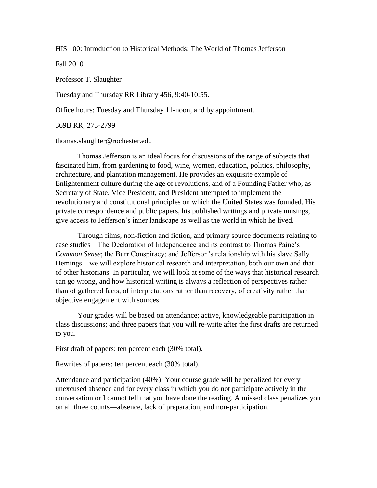HIS 100: Introduction to Historical Methods: The World of Thomas Jefferson

Fall 2010

Professor T. Slaughter

Tuesday and Thursday RR Library 456, 9:40-10:55.

Office hours: Tuesday and Thursday 11-noon, and by appointment.

369B RR; 273-2799

#### thomas.slaughter@rochester.edu

Thomas Jefferson is an ideal focus for discussions of the range of subjects that fascinated him, from gardening to food, wine, women, education, politics, philosophy, architecture, and plantation management. He provides an exquisite example of Enlightenment culture during the age of revolutions, and of a Founding Father who, as Secretary of State, Vice President, and President attempted to implement the revolutionary and constitutional principles on which the United States was founded. His private correspondence and public papers, his published writings and private musings, give access to Jefferson's inner landscape as well as the world in which he lived.

Through films, non-fiction and fiction, and primary source documents relating to case studies—The Declaration of Independence and its contrast to Thomas Paine's *Common Sense*; the Burr Conspiracy; and Jefferson's relationship with his slave Sally Hemings—we will explore historical research and interpretation, both our own and that of other historians. In particular, we will look at some of the ways that historical research can go wrong, and how historical writing is always a reflection of perspectives rather than of gathered facts, of interpretations rather than recovery, of creativity rather than objective engagement with sources.

Your grades will be based on attendance; active, knowledgeable participation in class discussions; and three papers that you will re-write after the first drafts are returned to you.

First draft of papers: ten percent each (30% total).

Rewrites of papers: ten percent each (30% total).

Attendance and participation (40%): Your course grade will be penalized for every unexcused absence and for every class in which you do not participate actively in the conversation or I cannot tell that you have done the reading. A missed class penalizes you on all three counts—absence, lack of preparation, and non-participation.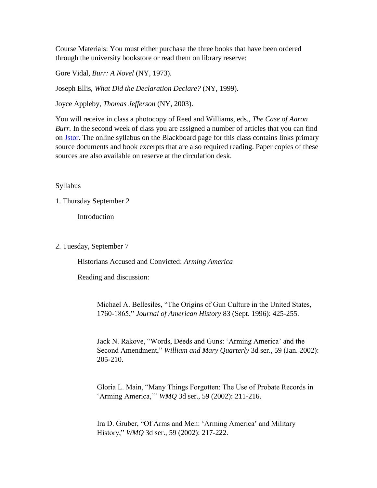Course Materials: You must either purchase the three books that have been ordered through the university bookstore or read them on library reserve:

Gore Vidal, *Burr: A Novel* (NY, 1973).

Joseph Ellis, *What Did the Declaration Declare?* (NY, 1999).

Joyce Appleby, *Thomas Jefferson* (NY, 2003).

You will receive in class a photocopy of Reed and Williams, eds., *The Case of Aaron Burr.* In the second week of class you are assigned a number of articles that you can find on Jstor. The online syllabus on the Blackboard page for this class contains links primary source documents and book excerpts that are also required reading. Paper copies of these sources are also available on reserve at the circulation desk.

# Syllabus

1. Thursday September 2

Introduction

2. Tuesday, September 7

Historians Accused and Convicted: *Arming America*

Reading and discussion:

Michael A. Bellesiles, "The Origins of Gun Culture in the United States, 1760-1865," *Journal of American History* 83 (Sept. 1996): 425-255.

Jack N. Rakove, "Words, Deeds and Guns: 'Arming America' and the Second Amendment," *William and Mary Quarterly* 3d ser., 59 (Jan. 2002): 205-210.

Gloria L. Main, "Many Things Forgotten: The Use of Probate Records in 'Arming America,'" *WMQ* 3d ser., 59 (2002): 211-216.

Ira D. Gruber, "Of Arms and Men: 'Arming America' and Military History," *WMQ* 3d ser., 59 (2002): 217-222.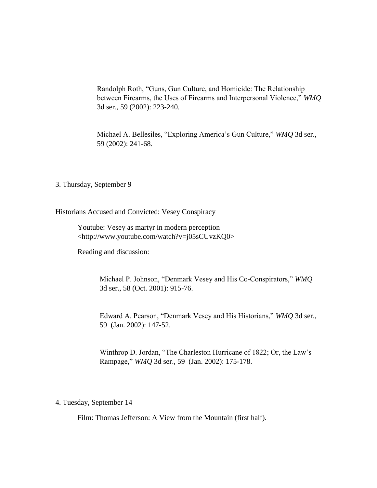Randolph Roth, "Guns, Gun Culture, and Homicide: The Relationship between Firearms, the Uses of Firearms and Interpersonal Violence," *WMQ* 3d ser., 59 (2002): 223-240.

Michael A. Bellesiles, "Exploring America's Gun Culture," *WMQ* 3d ser., 59 (2002): 241-68.

3. Thursday, September 9

Historians Accused and Convicted: Vesey Conspiracy

Youtube: Vesey as martyr in modern perception <http://www.youtube.com/watch?v=j05sCUvzKQ0>

Reading and discussion:

Michael P. Johnson, "Denmark Vesey and His Co-Conspirators," *WMQ* 3d ser., 58 (Oct. 2001): 915-76.

Edward A. Pearson, "Denmark Vesey and His Historians," *WMQ* 3d ser., 59 (Jan. 2002): 147-52.

Winthrop D. Jordan, "The Charleston Hurricane of 1822; Or, the Law's Rampage," *WMQ* 3d ser., 59 (Jan. 2002): 175-178.

#### 4. Tuesday, September 14

Film: Thomas Jefferson: A View from the Mountain (first half).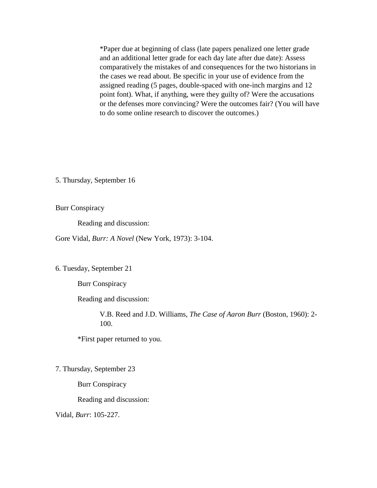\*Paper due at beginning of class (late papers penalized one letter grade and an additional letter grade for each day late after due date): Assess comparatively the mistakes of and consequences for the two historians in the cases we read about. Be specific in your use of evidence from the assigned reading (5 pages, double-spaced with one-inch margins and 12 point font). What, if anything, were they guilty of? Were the accusations or the defenses more convincing? Were the outcomes fair? (You will have to do some online research to discover the outcomes.)

5. Thursday, September 16

Burr Conspiracy

Reading and discussion:

Gore Vidal, *Burr: A Novel* (New York, 1973): 3-104.

6. Tuesday, September 21

Burr Conspiracy

Reading and discussion:

V.B. Reed and J.D. Williams, *The Case of Aaron Burr* (Boston, 1960): 2- 100.

\*First paper returned to you.

7. Thursday, September 23

Burr Conspiracy

Reading and discussion:

Vidal, *Burr*: 105-227.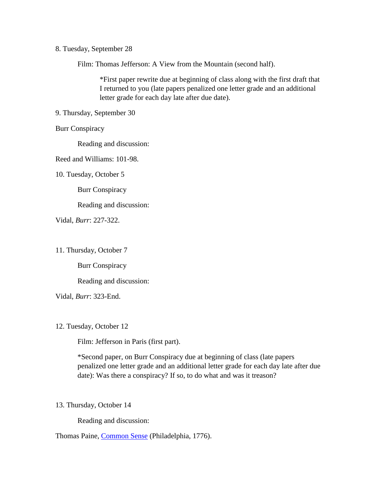## 8. Tuesday, September 28

Film: Thomas Jefferson: A View from the Mountain (second half).

\*First paper rewrite due at beginning of class along with the first draft that I returned to you (late papers penalized one letter grade and an additional letter grade for each day late after due date).

9. Thursday, September 30

Burr Conspiracy

Reading and discussion:

Reed and Williams: 101-98.

10. Tuesday, October 5

Burr Conspiracy

Reading and discussion:

Vidal, *Burr*: 227-322.

11. Thursday, October 7

Burr Conspiracy

Reading and discussion:

Vidal, *Burr*: 323-End.

12. Tuesday, October 12

Film: Jefferson in Paris (first part).

\*Second paper, on Burr Conspiracy due at beginning of class (late papers penalized one letter grade and an additional letter grade for each day late after due date): Was there a conspiracy? If so, to do what and was it treason?

13. Thursday, October 14

Reading and discussion:

Thomas Paine, Common Sense (Philadelphia, 1776).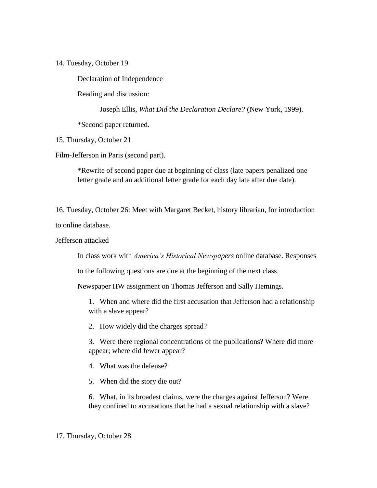14. Tuesday, October 19

Declaration of Independence

Reading and discussion:

Joseph Ellis, *What Did the Declaration Declare?* (New York, 1999).

\*Second paper returned.

15. Thursday, October 21

Film-Jefferson in Paris (second part).

\*Rewrite of second paper due at beginning of class (late papers penalized one letter grade and an additional letter grade for each day late after due date).

16. Tuesday, October 26: Meet with Margaret Becket, history librarian, for introduction to online database.

Jefferson attacked

In class work with *America's Historical Newspapers* online database. Responses

to the following questions are due at the beginning of the next class.

Newspaper HW assignment on Thomas Jefferson and Sally Hemings.

1. When and where did the first accusation that Jefferson had a relationship with a slave appear?

2. How widely did the charges spread?

3. Were there regional concentrations of the publications? Where did more appear; where did fewer appear?

4. What was the defense?

5. When did the story die out?

6. What, in its broadest claims, were the charges against Jefferson? Were they confined to accusations that he had a sexual relationship with a slave?

## 17. Thursday, October 28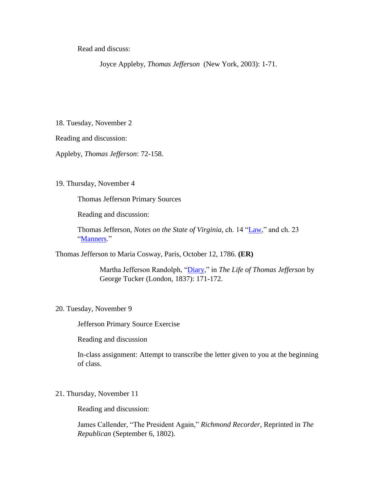Read and discuss:

Joyce Appleby, *Thomas Jefferson* (New York, 2003): 1-71.

18. Tuesday, November 2

Reading and discussion:

Appleby, *Thomas Jefferson*: 72-158.

### 19. Thursday, November 4

Thomas Jefferson Primary Sources

Reading and discussion:

Thomas Jefferson, *Notes on the State of Virginia,* ch. 14 "Law," and ch. 23 "Manners."

Thomas Jefferson to Maria Cosway, Paris, October 12, 1786. **(ER)**

Martha Jefferson Randolph, "Diary," in *The Life of Thomas Jefferson* by George Tucker (London, 1837): 171-172.

# 20. Tuesday, November 9

Jefferson Primary Source Exercise

Reading and discussion

In-class assignment: Attempt to transcribe the letter given to you at the beginning of class.

21. Thursday, November 11

Reading and discussion:

James Callender, "The President Again," *Richmond Recorder*, Reprinted in *The Republican* (September 6, 1802).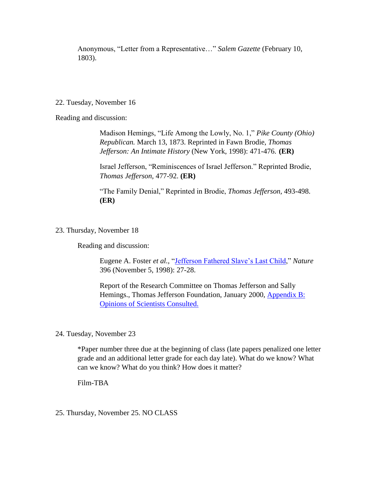Anonymous, "Letter from a Representative…" *Salem Gazette* (February 10, 1803).

# 22. Tuesday, November 16

Reading and discussion:

Madison Hemings, "Life Among the Lowly, No. 1," *Pike County (Ohio) Republican.* March 13, 1873. Reprinted in Fawn Brodie, *Thomas Jefferson: An Intimate History* (New York, 1998): 471-476. **(ER)**

Israel Jefferson, "Reminiscences of Israel Jefferson." Reprinted Brodie, *Thomas Jefferson,* 477-92. **(ER)**

"The Family Denial," Reprinted in Brodie, *Thomas Jefferson,* 493-498. **(ER)**

23. Thursday, November 18

Reading and discussion:

Eugene A. Foster *et al.,* "Jefferson Fathered Slave's Last Child," *Nature* 396 (November 5, 1998): 27-28.

Report of the Research Committee on Thomas Jefferson and Sally Hemings., Thomas Jefferson Foundation, January 2000, Appendix B: Opinions of Scientists Consulted.

24. Tuesday, November 23

\*Paper number three due at the beginning of class (late papers penalized one letter grade and an additional letter grade for each day late). What do we know? What can we know? What do you think? How does it matter?

Film-TBA

25. Thursday, November 25. NO CLASS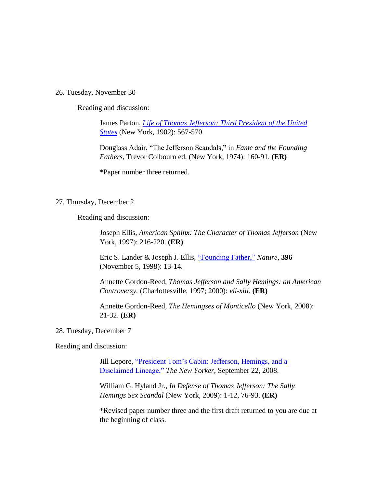#### 26. Tuesday, November 30

Reading and discussion:

James Parton, *Life of Thomas Jefferson: Third President of the United States* (New York, 1902): 567-570.

Douglass Adair, "The Jefferson Scandals," in *Fame and the Founding Fathers*, Trevor Colbourn ed. (New York, 1974): 160-91. **(ER)**

\*Paper number three returned.

## 27. Thursday, December 2

Reading and discussion:

Joseph Ellis, *American Sphinx: The Character of Thomas Jefferson* (New York, 1997): 216-220. **(ER)**

Eric S. Lander & Joseph J. Ellis, "Founding Father," *Nature*, **396** (November 5, 1998): 13-14.

Annette Gordon-Reed, *Thomas Jefferson and Sally Hemings: an American Controversy.* (Charlottesville, 1997; 2000): *vii-xiii.* **(ER)**

Annette Gordon-Reed, *The Hemingses of Monticello* (New York, 2008): 21-32. **(ER)**

## 28. Tuesday, December 7

Reading and discussion:

Jill Lepore, "President Tom's Cabin: Jefferson, Hemings, and a Disclaimed Lineage," *The New Yorker,* September 22, 2008.

William G. Hyland Jr., *In Defense of Thomas Jefferson: The Sally Hemings Sex Scandal* (New York, 2009): 1-12, 76-93. **(ER)**

\*Revised paper number three and the first draft returned to you are due at the beginning of class.